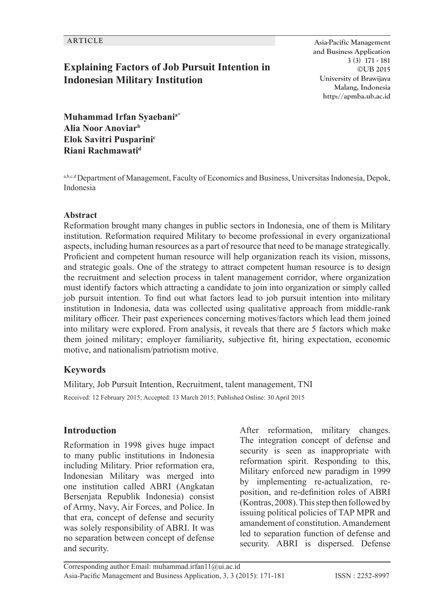## **Explaining Factors of Job Pursuit Intention in Indonesian Military Institution**

**ARTICLE Asia-Pacific Management and Business Application 3 (3) 171 - 181 ©UB 2015 University of Brawijaya Malang, Indonesia http://apmba.ub.ac.id**

**Muhammad Irfan Syaebania\* Alia Noor Anoviarb Elok Savitri Pusparini<sup>c</sup> Riani Rachmawatid**

a,b,c,d Department of Management, Faculty of Economics and Business, Universitas Indonesia, Depok, Indonesia

#### **Abstract**

Reformation brought many changes in public sectors in Indonesia, one of them is Military institution. Reformation required Military to become professional in every organizational aspects, including human resources as a part of resource that need to be manage strategically. Proficient and competent human resource will help organization reach its vision, missons, and strategic goals. One of the strategy to attract competent human resource is to design the recruitment and selection process in talent management corridor, where organization must identify factors which attracting a candidate to join into organization or simply called job pursuit intention. To find out what factors lead to job pursuit intention into military institution in Indonesia, data was collected using qualitative approach from middle-rank military officer. Their past experiences concerning motives/factors which lead them joined into military were explored. From analysis, it reveals that there are 5 factors which make them joined military; employer familiarity, subjective fit, hiring expectation, economic motive, and nationalism/patriotism motive.

#### **Keywords**

Military, Job Pursuit Intention, Recruitment, talent management, TNI Received: 12 February 2015; Accepted: 13 March 2015; Published Online: 30 April 2015

#### **Introduction**

Reformation in 1998 gives huge impact to many public institutions in Indonesia including Military. Prior reformation era, Indonesian Military was merged into one institution called ABRI (Angkatan Bersenjata Republik Indonesia) consist of Army, Navy, Air Forces, and Police. In that era, concept of defense and security was solely responsibility of ABRI. It was no separation between concept of defense and security.

After reformation, military changes. The integration concept of defense and security is seen as inappropriate with reformation spirit. Responding to this, Military enforced new paradigm in 1999 by implementing re-actualization, reposition, and re-definition roles of ABRI (Kontras, 2008). This step then followed by issuing political policies of TAP MPR and amandement of constitution. Amandement led to separation function of defense and security. ABRI is dispersed. Defense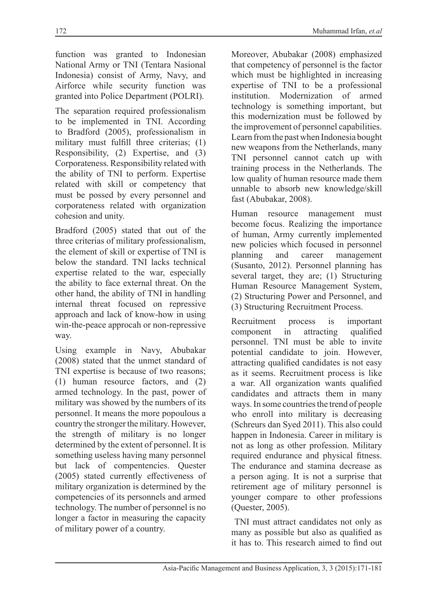function was granted to Indonesian National Army or TNI (Tentara Nasional Indonesia) consist of Army, Navy, and Airforce while security function was granted into Police Department (POLRI).

The separation required professionalism to be implemented in TNI. According to Bradford (2005), professionalism in military must fulfill three criterias; (1) Responsibility, (2) Expertise, and (3) Corporateness. Responsibility related with the ability of TNI to perform. Expertise related with skill or competency that must be possed by every personnel and corporateness related with organization cohesion and unity.

Bradford (2005) stated that out of the three criterias of military professionalism, the element of skill or expertise of TNI is below the standard. TNI lacks technical expertise related to the war, especially the ability to face external threat. On the other hand, the ability of TNI in handling internal threat focused on repressive approach and lack of know-how in using win-the-peace approcah or non-repressive way.

Using example in Navy, Abubakar (2008) stated that the unmet standard of TNI expertise is because of two reasons; (1) human resource factors, and (2) armed technology. In the past, power of military was showed by the numbers of its personnel. It means the more popoulous a country the stronger the military. However, the strength of military is no longer determined by the extent of personnel. It is something useless having many personnel but lack of compentencies. Quester (2005) stated currently effectiveness of military organization is determined by the competencies of its personnels and armed technology. The number of personnel is no longer a factor in measuring the capacity of military power of a country.

Moreover, Abubakar (2008) emphasized that competency of personnel is the factor which must be highlighted in increasing expertise of TNI to be a professional institution. Modernization of armed technology is something important, but this modernization must be followed by the improvement of personnel capabilities. Learn from the past when Indonesia bought new weapons from the Netherlands, many TNI personnel cannot catch up with training process in the Netherlands. The low quality of human resource made them unnable to absorb new knowledge/skill fast (Abubakar, 2008).

Human resource management must become focus. Realizing the importance of human, Army currently implemented new policies which focused in personnel<br>planning and career management and career management (Susanto, 2012). Personnel planning has several target, they are; (1) Structuring Human Resource Management System, (2) Structuring Power and Personnel, and (3) Structuring Recruitment Process.

Recruitment process is important component in attracting qualified personnel. TNI must be able to invite potential candidate to join. However, attracting qualified candidates is not easy as it seems. Recruitment process is like a war. All organization wants qualified candidates and attracts them in many ways. In some countries the trend of people who enroll into military is decreasing (Schreurs dan Syed 2011). This also could happen in Indonesia. Career in military is not as long as other profession. Military required endurance and physical fitness. The endurance and stamina decrease as a person aging. It is not a surprise that retirement age of military personnel is younger compare to other professions (Quester, 2005).

 TNI must attract candidates not only as many as possible but also as qualified as it has to. This research aimed to find out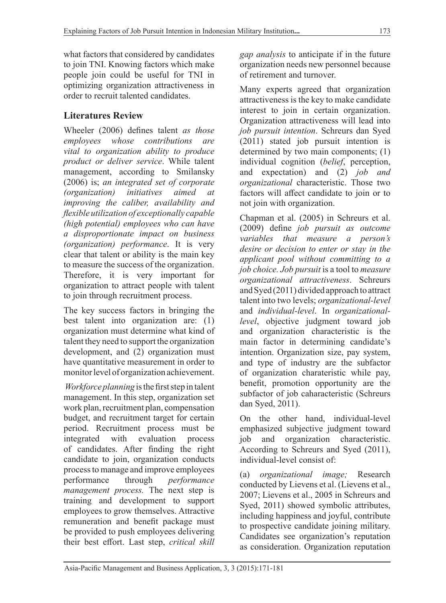what factors that considered by candidates to join TNI. Knowing factors which make people join could be useful for TNI in optimizing organization attractiveness in order to recruit talented candidates.

## **Literatures Review**

Wheeler (2006) defines talent *as those employees whose contributions are vital to organization ability to produce product or deliver service*. While talent management, according to Smilansky (2006) is; *an integrated set of corporate initiatives aimed at improving the caliber, availability and flexible utilization of exceptionally capable (high potential) employees who can have a disproportionate impact on business (organization) performance*. It is very clear that talent or ability is the main key to measure the success of the organization. Therefore, it is very important for organization to attract people with talent to join through recruitment process.

The key success factors in bringing the best talent into organization are: (1) organization must determine what kind of talent they need to support the organization development, and (2) organization must have quantitative measurement in order to monitor level of organization achievement.

*Workforce planning* is the first step in talent management. In this step, organization set work plan, recruitment plan, compensation budget, and recruitment target for certain period. Recruitment process must be integrated with evaluation process of candidates. After finding the right candidate to join, organization conducts process to manage and improve employees performance through *performance management process.* The next step is training and development to support employees to grow themselves. Attractive remuneration and benefit package must be provided to push employees delivering their best effort. Last step, *critical skill* 

*gap analysis* to anticipate if in the future organization needs new personnel because of retirement and turnover.

Many experts agreed that organization attractiveness is the key to make candidate interest to join in certain organization. Organization attractiveness will lead into *job pursuit intention*. Schreurs dan Syed (2011) stated job pursuit intention is determined by two main components; (1) individual cognition (*belief*, perception, and expectation) and (2) *job and organizational* characteristic. Those two factors will affect candidate to join or to not join with organization.

Chapman et al. (2005) in Schreurs et al. (2009) define *job pursuit as outcome variables that measure a person's desire or decision to enter or stay in the applicant pool without committing to a job choice. Job pursuit* is a tool to *measure organizational attractiveness*. Schreurs and Syed (2011) divided approach to attract talent into two levels; *organizational-level* and *individual-level*. In *organizationallevel*, objective judgment toward job and organization characteristic is the main factor in determining candidate's intention. Organization size, pay system, and type of industry are the subfactor of organization charateristic while pay, benefit, promotion opportunity are the subfactor of job caharacteristic (Schreurs dan Syed, 2011).

On the other hand, individual-level emphasized subjective judgment toward job and organization characteristic. According to Schreurs and Syed (2011), individual-level consist of:

(a) *organizational image;* Research conducted by Lievens et al. (Lievens et al., 2007; Lievens et al., 2005 in Schreurs and Syed, 2011) showed symbolic attributes, including happiness and joyful, contribute to prospective candidate joining military. Candidates see organization's reputation as consideration. Organization reputation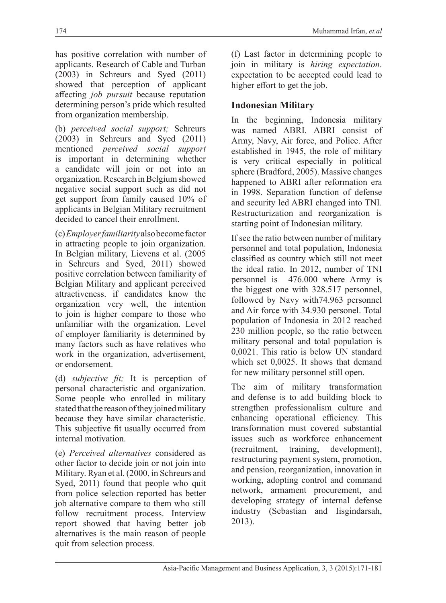has positive correlation with number of applicants. Research of Cable and Turban (2003) in Schreurs and Syed (2011) showed that perception of applicant affecting *job pursuit* because reputation determining person's pride which resulted from organization membership.

(b) *perceived social support;* Schreurs (2003) in Schreurs and Syed (2011) mentioned *perceived social support* is important in determining whether a candidate will join or not into an organization. Research in Belgium showed negative social support such as did not get support from family caused 10% of applicants in Belgian Military recruitment decided to cancel their enrollment.

(c) *Employer familiarity* also become factor in attracting people to join organization. In Belgian military, Lievens et al. (2005 in Schreurs and Syed, 2011) showed positive correlation between familiarity of Belgian Military and applicant perceived attractiveness. if candidates know the organization very well, the intention to join is higher compare to those who unfamiliar with the organization. Level of employer familiarity is determined by many factors such as have relatives who work in the organization, advertisement, or endorsement.

(d) *subjective fit;* It is perception of personal characteristic and organization. Some people who enrolled in military stated that the reason of they joined military because they have similar characteristic. This subjective fit usually occurred from internal motivation.

(e) *Perceived alternatives* considered as other factor to decide join or not join into Military. Ryan et al. (2000, in Schreurs and Syed, 2011) found that people who quit from police selection reported has better job alternative compare to them who still follow recruitment process. Interview report showed that having better job alternatives is the main reason of people quit from selection process.

(f) Last factor in determining people to join in military is *hiring expectation*. expectation to be accepted could lead to higher effort to get the job.

#### **Indonesian Military**

In the beginning, Indonesia military was named ABRI. ABRI consist of Army, Navy, Air force, and Police. After established in 1945, the role of military is very critical especially in political sphere (Bradford, 2005). Massive changes happened to ABRI after reformation era in 1998. Separation function of defense and security led ABRI changed into TNI. Restructurization and reorganization is starting point of Indonesian military.

If see the ratio between number of military personnel and total population, Indonesia classified as country which still not meet the ideal ratio. In 2012, number of TNI personnel is 476.000 where Army is the biggest one with 328.517 personnel, followed by Navy with74.963 personnel and Air force with 34.930 personel. Total population of Indonesia in 2012 reached 230 million people, so the ratio between military personal and total population is 0,0021. This ratio is below UN standard which set 0,0025. It shows that demand for new military personnel still open.

The aim of military transformation and defense is to add building block to strengthen professionalism culture and enhancing operational efficiency. This transformation must covered substantial issues such as workforce enhancement (recruitment, training, development), restructuring payment system, promotion, and pension, reorganization, innovation in working, adopting control and command network, armament procurement, and developing strategy of internal defense industry (Sebastian and Iisgindarsah, 2013).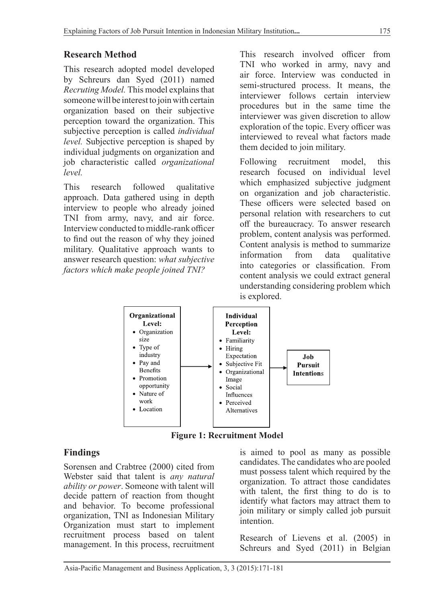### **Research Method**

This research adopted model developed by Schreurs dan Syed (2011) named *Recruting Model.* This model explains that someone will be interest to join with certain organization based on their subjective perception toward the organization. This subjective perception is called *individual level.* Subjective perception is shaped by individual judgments on organization and job characteristic called *organizational level.*

This research followed qualitative approach. Data gathered using in depth interview to people who already joined TNI from army, navy, and air force. Interview conducted to middle-rank officer to find out the reason of why they joined military. Qualitative approach wants to answer research question: *what subjective factors which make people joined TNI?*

This research involved officer from TNI who worked in army, navy and air force. Interview was conducted in semi-structured process. It means, the interviewer follows certain interview procedures but in the same time the interviewer was given discretion to allow exploration of the topic. Every officer was interviewed to reveal what factors made them decided to join military.

Following recruitment model, this research focused on individual level which emphasized subjective judgment on organization and job characteristic. These officers were selected based on personal relation with researchers to cut off the bureaucracy. To answer research problem, content analysis was performed. Content analysis is method to summarize<br>information from data qualitative data qualitative into categories or classification. From content analysis we could extract general understanding considering problem which is explored.



**Figure 1: Recruitment Model**

### **Findings**

Sorensen and Crabtree (2000) cited from Webster said that talent is *any natural ability or power*. Someone with talent will decide pattern of reaction from thought and behavior. To become professional organization, TNI as Indonesian Military Organization must start to implement recruitment process based on talent management. In this process, recruitment is aimed to pool as many as possible candidates. The candidates who are pooled must possess talent which required by the organization. To attract those candidates with talent, the first thing to do is to identify what factors may attract them to join military or simply called job pursuit intention.

Research of Lievens et al. (2005) in Schreurs and Syed (2011) in Belgian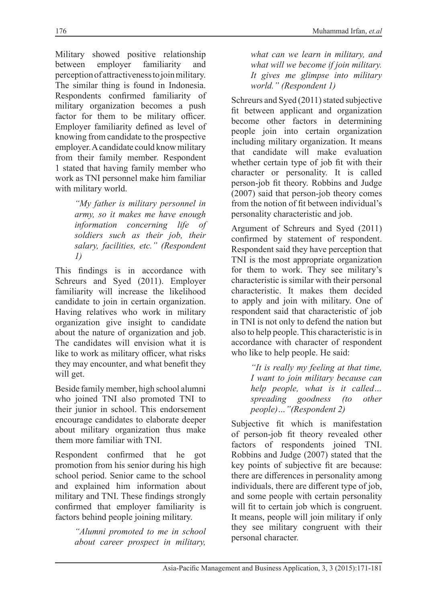Military showed positive relationship<br>between employer familiarity and between employer familiarity and perception of attractiveness to join military. The similar thing is found in Indonesia. Respondents confirmed familiarity of military organization becomes a push factor for them to be military officer. Employer familiarity defined as level of knowing from candidate to the prospective employer. A candidate could know military from their family member. Respondent 1 stated that having family member who work as TNI personnel make him familiar with military world.

> *"My father is military personnel in army, so it makes me have enough information concerning life of soldiers such as their job, their salary, facilities, etc." (Respondent 1)*

This findings is in accordance with Schreurs and Syed (2011). Employer familiarity will increase the likelihood candidate to join in certain organization. Having relatives who work in military organization give insight to candidate about the nature of organization and job. The candidates will envision what it is like to work as military officer, what risks they may encounter, and what benefit they will get.

Beside family member, high school alumni who joined TNI also promoted TNI to their junior in school. This endorsement encourage candidates to elaborate deeper about military organization thus make them more familiar with TNI.

Respondent confirmed that he got promotion from his senior during his high school period. Senior came to the school and explained him information about military and TNI. These findings strongly confirmed that employer familiarity is factors behind people joining military.

> *"Alumni promoted to me in school about career prospect in military,*

*what can we learn in military, and what will we become if join military. It gives me glimpse into military world." (Respondent 1)*

Schreurs and Syed (2011) stated subjective fit between applicant and organization become other factors in determining people join into certain organization including military organization. It means that candidate will make evaluation whether certain type of job fit with their character or personality. It is called person-job fit theory. Robbins and Judge (2007) said that person-job theory comes from the notion of fit between individual's personality characteristic and job.

Argument of Schreurs and Syed (2011) confirmed by statement of respondent. Respondent said they have perception that TNI is the most appropriate organization for them to work. They see military's characteristic is similar with their personal characteristic. It makes them decided to apply and join with military. One of respondent said that characteristic of job in TNI is not only to defend the nation but also to help people. This characteristic is in accordance with character of respondent who like to help people. He said:

> *"It is really my feeling at that time, I want to join military because can help people, what is it called… spreading goodness (to other people)…"(Respondent 2)*

Subjective fit which is manifestation of person-job fit theory revealed other factors of respondents joined TNI. Robbins and Judge (2007) stated that the key points of subjective fit are because: there are differences in personality among individuals, there are different type of job, and some people with certain personality will fit to certain job which is congruent. It means, people will join military if only they see military congruent with their personal character.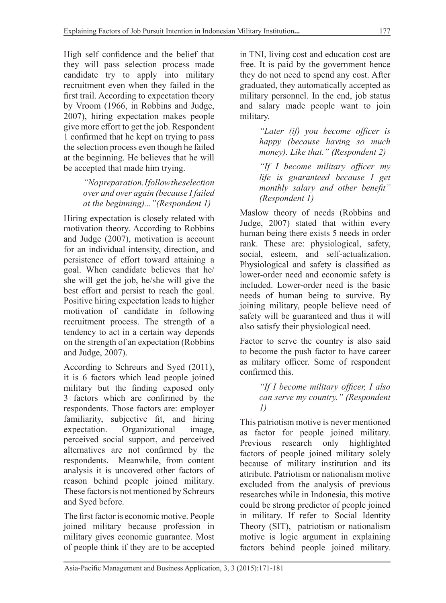High self confidence and the belief that they will pass selection process made candidate try to apply into military recruitment even when they failed in the first trail. According to expectation theory by Vroom (1966, in Robbins and Judge, 2007), hiring expectation makes people give more effort to get the job. Respondent 1 confirmed that he kept on trying to pass the selection process even though he failed at the beginning. He believes that he will be accepted that made him trying.

> *"No preparation. I follow the selection over and over again (because I failed at the beginning)..."(Respondent 1)*

Hiring expectation is closely related with motivation theory. According to Robbins and Judge (2007), motivation is account for an individual intensity, direction, and persistence of effort toward attaining a goal. When candidate believes that he/ she will get the job, he/she will give the best effort and persist to reach the goal. Positive hiring expectation leads to higher motivation of candidate in following recruitment process. The strength of a tendency to act in a certain way depends on the strength of an expectation (Robbins and Judge, 2007).

According to Schreurs and Syed (2011), it is 6 factors which lead people joined military but the finding exposed only 3 factors which are confirmed by the respondents. Those factors are: employer familiarity, subjective fit, and hiring expectation. Organizational image, perceived social support, and perceived alternatives are not confirmed by the respondents. Meanwhile, from content analysis it is uncovered other factors of reason behind people joined military. These factors is not mentioned by Schreurs and Syed before.

The first factor is economic motive. People joined military because profession in military gives economic guarantee. Most of people think if they are to be accepted in TNI, living cost and education cost are free. It is paid by the government hence they do not need to spend any cost. After graduated, they automatically accepted as military personnel. In the end, job status and salary made people want to join military.

> *"Later (if) you become officer is happy (because having so much money). Like that." (Respondent 2)*

> *"If I become military officer my life is guaranteed because I get monthly salary and other benefit" (Respondent 1)*

Maslow theory of needs (Robbins and Judge, 2007) stated that within every human being there exists 5 needs in order rank. These are: physiological, safety, social, esteem, and self-actualization. Physiological and safety is classified as lower-order need and economic safety is included. Lower-order need is the basic needs of human being to survive. By joining military, people believe need of safety will be guaranteed and thus it will also satisfy their physiological need.

Factor to serve the country is also said to become the push factor to have career as military officer. Some of respondent confirmed this.

#### *"If I become military officer, I also can serve my country." (Respondent 1)*

This patriotism motive is never mentioned as factor for people joined military. Previous research only highlighted factors of people joined military solely because of military institution and its attribute. Patriotism or nationalism motive excluded from the analysis of previous researches while in Indonesia, this motive could be strong predictor of people joined in military. If refer to Social Identity Theory (SIT), patriotism or nationalism motive is logic argument in explaining factors behind people joined military.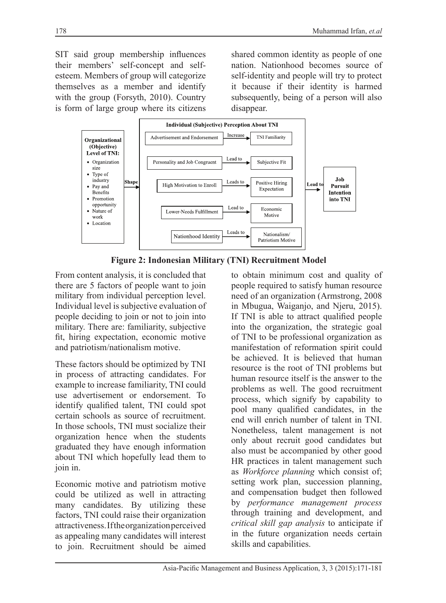SIT said group membership influences their members' self-concept and selfesteem. Members of group will categorize themselves as a member and identify with the group (Forsyth, 2010). Country is form of large group where its citizens

shared common identity as people of one nation. Nationhood becomes source of self-identity and people will try to protect it because if their identity is harmed subsequently, being of a person will also disappear.



**Figure 2: Indonesian Military (TNI) Recruitment Model**

From content analysis, it is concluded that there are 5 factors of people want to join military from individual perception level. Individual level is subjective evaluation of people deciding to join or not to join into military. There are: familiarity, subjective fit, hiring expectation, economic motive and patriotism/nationalism motive.

These factors should be optimized by TNI in process of attracting candidates. For example to increase familiarity, TNI could use advertisement or endorsement. To identify qualified talent, TNI could spot certain schools as source of recruitment. In those schools, TNI must socialize their organization hence when the students graduated they have enough information about TNI which hopefully lead them to join in.

Economic motive and patriotism motive could be utilized as well in attracting many candidates. By utilizing these factors, TNI could raise their organization attractiveness. If the organization perceived as appealing many candidates will interest to join. Recruitment should be aimed

to obtain minimum cost and quality of people required to satisfy human resource need of an organization (Armstrong, 2008 in Mbugua, Waiganjo, and Njeru, 2015). If TNI is able to attract qualified people into the organization, the strategic goal of TNI to be professional organization as manifestation of reformation spirit could be achieved. It is believed that human resource is the root of TNI problems but human resource itself is the answer to the problems as well. The good recruitment process, which signify by capability to pool many qualified candidates, in the end will enrich number of talent in TNI. Nonetheless, talent management is not only about recruit good candidates but also must be accompanied by other good HR practices in talent management such as *Workforce planning* which consist of; setting work plan, succession planning, and compensation budget then followed by *performance management process* through training and development, and *critical skill gap analysis* to anticipate if in the future organization needs certain skills and capabilities.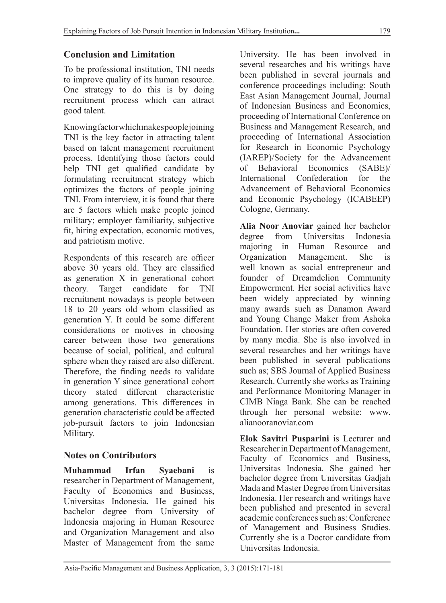#### **Conclusion and Limitation**

To be professional institution, TNI needs to improve quality of its human resource. One strategy to do this is by doing recruitment process which can attract good talent.

Knowing factor which makes people joining TNI is the key factor in attracting talent based on talent management recruitment process. Identifying those factors could help TNI get qualified candidate by formulating recruitment strategy which optimizes the factors of people joining TNI. From interview, it is found that there are 5 factors which make people joined military; employer familiarity, subjective fit, hiring expectation, economic motives, and patriotism motive.

Respondents of this research are officer above 30 years old. They are classified as generation X in generational cohort theory. Target candidate for TNI recruitment nowadays is people between 18 to 20 years old whom classified as generation Y. It could be some different considerations or motives in choosing career between those two generations because of social, political, and cultural sphere when they raised are also different. Therefore, the finding needs to validate in generation Y since generational cohort theory stated different characteristic among generations. This differences in generation characteristic could be affected job-pursuit factors to join Indonesian Military.

#### **Notes on Contributors**

**Muhammad Irfan Syaebani** is researcher in Department of Management, Faculty of Economics and Business, Universitas Indonesia. He gained his bachelor degree from University of Indonesia majoring in Human Resource and Organization Management and also Master of Management from the same University. He has been involved in several researches and his writings have been published in several journals and conference proceedings including: South East Asian Management Journal, Journal of Indonesian Business and Economics, proceeding of International Conference on Business and Management Research, and proceeding of International Association for Research in Economic Psychology (IAREP)/Society for the Advancement<br>of Behavioral Economics (SABE)/ Economics (SABE)/ International Confederation for the Advancement of Behavioral Economics and Economic Psychology (ICABEEP) Cologne, Germany.

**Alia Noor Anoviar** gained her bachelor degree from Universitas Indonesia majoring in Human Resource and Organization Management. She is well known as social entrepreneur and founder of Dreamdelion Community Empowerment. Her social activities have been widely appreciated by winning many awards such as Danamon Award and Young Change Maker from Ashoka Foundation. Her stories are often covered by many media. She is also involved in several researches and her writings have been published in several publications such as; SBS Journal of Applied Business Research. Currently she works as Training and Performance Monitoring Manager in CIMB Niaga Bank. She can be reached through her personal website: www. alianooranoviar.com

**Elok Savitri Pusparini** is Lecturer and Researcher in Department of Management, Faculty of Economics and Business, Universitas Indonesia. She gained her bachelor degree from Universitas Gadjah Mada and Master Degree from Universitas Indonesia. Her research and writings have been published and presented in several academic conferences such as: Conference of Management and Business Studies. Currently she is a Doctor candidate from Universitas Indonesia.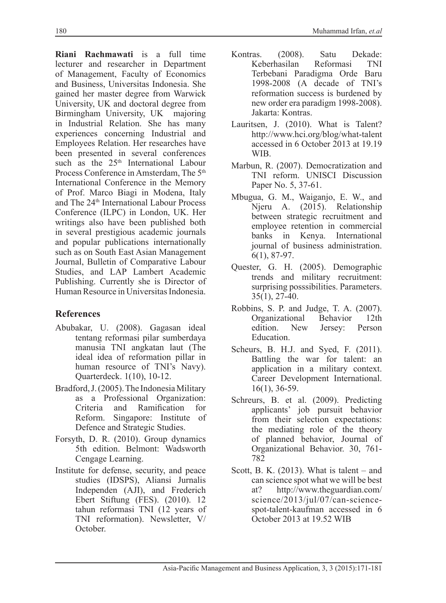**Riani Rachmawati** is a full time lecturer and researcher in Department of Management, Faculty of Economics and Business, Universitas Indonesia. She gained her master degree from Warwick University, UK and doctoral degree from Birmingham University, UK majoring in Industrial Relation. She has many experiences concerning Industrial and Employees Relation. Her researches have been presented in several conferences such as the 25<sup>th</sup> International Labour Process Conference in Amsterdam. The 5<sup>th</sup> International Conference in the Memory of Prof. Marco Biagi in Modena, Italy and The 24th International Labour Process Conference (ILPC) in London, UK. Her writings also have been published both in several prestigious academic journals and popular publications internationally such as on South East Asian Management Journal, Bulletin of Comparative Labour Studies, and LAP Lambert Academic Publishing. Currently she is Director of Human Resource in Universitas Indonesia.

# **References**

- Abubakar, U. (2008). Gagasan ideal tentang reformasi pilar sumberdaya manusia TNI angkatan laut (The ideal idea of reformation pillar in human resource of TNI's Navy). Quarterdeck. 1(10), 10-12.
- Bradford, J. (2005). The Indonesia Military as a Professional Organization: Ramification for Reform. Singapore: Institute of Defence and Strategic Studies.
- Forsyth, D. R. (2010). Group dynamics 5th edition. Belmont: Wadsworth Cengage Learning.
- Institute for defense, security, and peace studies (IDSPS), Aliansi Jurnalis Independen (AJI), and Frederich Ebert Stiftung (FES). (2010). 12 tahun reformasi TNI (12 years of TNI reformation). Newsletter, V/ October.
- Kontras. (2008). Satu Dekade:<br>Keberhasilan Reformasi TNI Keberhasilan Terbebani Paradigma Orde Baru 1998-2008 (A decade of TNI's reformation success is burdened by new order era paradigm 1998-2008). Jakarta: Kontras.
- Lauritsen, J. (2010). What is Talent? http://www.hci.org/blog/what-talent accessed in 6 October 2013 at 19.19 WIB.
- Marbun, R. (2007). Democratization and TNI reform. UNISCI Discussion Paper No. 5, 37-61.
- Mbugua, G. M., Waiganjo, E. W., and Njeru A. (2015). Relationship between strategic recruitment and employee retention in commercial banks in Kenya. International journal of business administration. 6(1), 87-97.
- Quester, G. H. (2005). Demographic trends and military recruitment: surprising posssibilities. Parameters.  $35(1)$ ,  $27-40$ .
- Robbins, S. P. and Judge, T. A. (2007).<br>Organizational Behavior 12th Organizational Behavior edition. New Jersey: Person Education.
- Scheurs, B. H.J. and Syed, F. (2011). Battling the war for talent: an application in a military context. Career Development International. 16(1), 36-59.
- Schreurs, B. et al. (2009). Predicting applicants' job pursuit behavior from their selection expectations: the mediating role of the theory of planned behavior, Journal of Organizational Behavior. 30, 761- 782
- Scott, B. K. (2013). What is talent and can science spot what we will be best at? http://www.theguardian.com/ science/2013/jul/07/can-sciencespot-talent-kaufman accessed in 6 October 2013 at 19.52 WIB